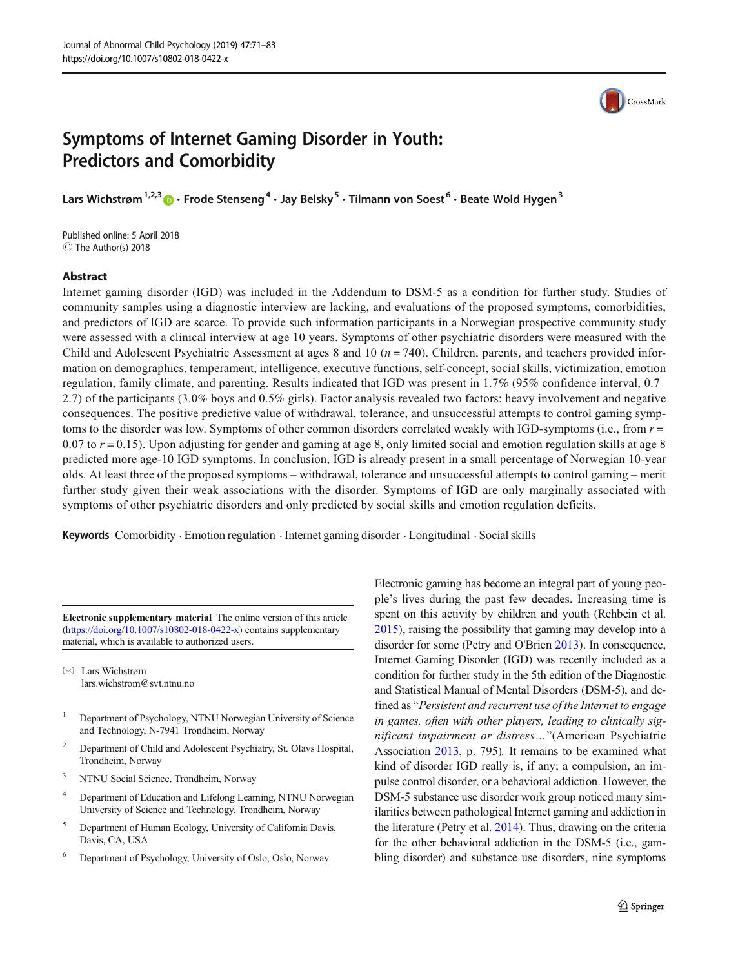

# Symptoms of Internet Gaming Disorder in Youth: Predictors and Comorbidity

Lars Wichstrøm<sup>1,2,3</sup>  $\cdot$  Frode Stenseng<sup>4</sup> · Jay Belsky<sup>5</sup> · Tilmann von Soest<sup>6</sup> · Beate Wold Hygen<sup>3</sup>

Published online: 5 April 2018 © The Author(s) 2018

## Abstract

Internet gaming disorder (IGD) was included in the Addendum to DSM-5 as a condition for further study. Studies of community samples using a diagnostic interview are lacking, and evaluations of the proposed symptoms, comorbidities, and predictors of IGD are scarce. To provide such information participants in a Norwegian prospective community study were assessed with a clinical interview at age 10 years. Symptoms of other psychiatric disorders were measured with the Child and Adolescent Psychiatric Assessment at ages 8 and 10  $(n = 740)$ . Children, parents, and teachers provided information on demographics, temperament, intelligence, executive functions, self-concept, social skills, victimization, emotion regulation, family climate, and parenting. Results indicated that IGD was present in 1.7% (95% confidence interval, 0.7– 2.7) of the participants (3.0% boys and 0.5% girls). Factor analysis revealed two factors: heavy involvement and negative consequences. The positive predictive value of withdrawal, tolerance, and unsuccessful attempts to control gaming symptoms to the disorder was low. Symptoms of other common disorders correlated weakly with IGD-symptoms (i.e., from  $r =$ 0.07 to  $r = 0.15$ ). Upon adjusting for gender and gaming at age 8, only limited social and emotion regulation skills at age 8 predicted more age-10 IGD symptoms. In conclusion, IGD is already present in a small percentage of Norwegian 10-year olds. At least three of the proposed symptoms – withdrawal, tolerance and unsuccessful attempts to control gaming – merit further study given their weak associations with the disorder. Symptoms of IGD are only marginally associated with symptoms of other psychiatric disorders and only predicted by social skills and emotion regulation deficits.

Keywords Comorbidity . Emotion regulation . Internet gaming disorder . Longitudinal . Social skills

Electronic supplementary material The online version of this article (<https://doi.org/10.1007/s10802-018-0422-x>) contains supplementary material, which is available to authorized users.

 $\boxtimes$  Lars Wichstrøm [lars.wichstrom@svt.ntnu.no](mailto:lars.wichstrom@svt.ntnu.no)

- <sup>1</sup> Department of Psychology, NTNU Norwegian University of Science and Technology, N-7941 Trondheim, Norway
- <sup>2</sup> Department of Child and Adolescent Psychiatry, St. Olavs Hospital, Trondheim, Norway
- <sup>3</sup> NTNU Social Science, Trondheim, Norway
- <sup>4</sup> Department of Education and Lifelong Learning, NTNU Norwegian University of Science and Technology, Trondheim, Norway
- <sup>5</sup> Department of Human Ecology, University of California Davis, Davis, CA, USA
- <sup>6</sup> Department of Psychology, University of Oslo, Oslo, Norway

Electronic gaming has become an integral part of young people's lives during the past few decades. Increasing time is spent on this activity by children and youth (Rehbein et al. [2015\)](#page-12-0), raising the possibility that gaming may develop into a disorder for some (Petry and O'Brien [2013](#page-12-0)). In consequence, Internet Gaming Disorder (IGD) was recently included as a condition for further study in the 5th edition of the Diagnostic and Statistical Manual of Mental Disorders (DSM-5), and defined as "Persistent and recurrent use of the Internet to engage in games, often with other players, leading to clinically significant impairment or distress…^(American Psychiatric Association [2013](#page-10-0), p. 795). It remains to be examined what kind of disorder IGD really is, if any; a compulsion, an impulse control disorder, or a behavioral addiction. However, the DSM-5 substance use disorder work group noticed many similarities between pathological Internet gaming and addiction in the literature (Petry et al. [2014](#page-12-0)). Thus, drawing on the criteria for the other behavioral addiction in the DSM-5 (i.e., gambling disorder) and substance use disorders, nine symptoms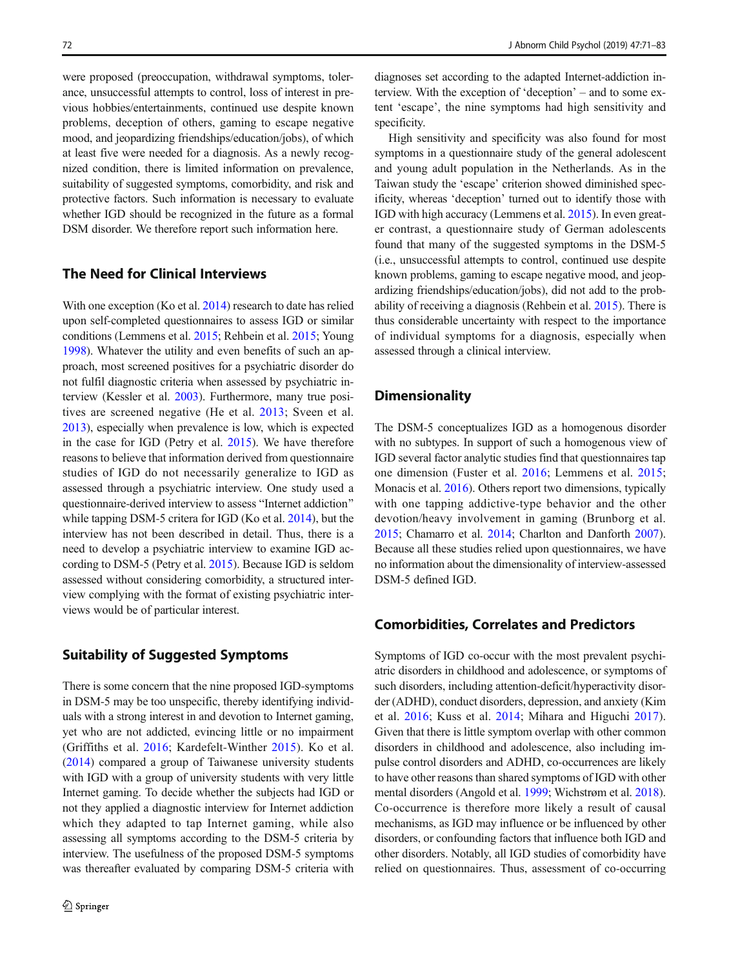were proposed (preoccupation, withdrawal symptoms, tolerance, unsuccessful attempts to control, loss of interest in previous hobbies/entertainments, continued use despite known problems, deception of others, gaming to escape negative mood, and jeopardizing friendships/education/jobs), of which at least five were needed for a diagnosis. As a newly recognized condition, there is limited information on prevalence, suitability of suggested symptoms, comorbidity, and risk and protective factors. Such information is necessary to evaluate whether IGD should be recognized in the future as a formal DSM disorder. We therefore report such information here.

# The Need for Clinical Interviews

With one exception (Ko et al. [2014](#page-11-0)) research to date has relied upon self-completed questionnaires to assess IGD or similar conditions (Lemmens et al. [2015](#page-11-0); Rehbein et al. [2015](#page-12-0); Young [1998\)](#page-12-0). Whatever the utility and even benefits of such an approach, most screened positives for a psychiatric disorder do not fulfil diagnostic criteria when assessed by psychiatric interview (Kessler et al. [2003](#page-11-0)). Furthermore, many true positives are screened negative (He et al. [2013;](#page-11-0) Sveen et al. [2013\)](#page-12-0), especially when prevalence is low, which is expected in the case for IGD (Petry et al. [2015\)](#page-12-0). We have therefore reasons to believe that information derived from questionnaire studies of IGD do not necessarily generalize to IGD as assessed through a psychiatric interview. One study used a questionnaire-derived interview to assess "Internet addiction" while tapping DSM-5 critera for IGD (Ko et al. [2014\)](#page-11-0), but the interview has not been described in detail. Thus, there is a need to develop a psychiatric interview to examine IGD according to DSM-5 (Petry et al. [2015](#page-12-0)). Because IGD is seldom assessed without considering comorbidity, a structured interview complying with the format of existing psychiatric interviews would be of particular interest.

# Suitability of Suggested Symptoms

There is some concern that the nine proposed IGD-symptoms in DSM-5 may be too unspecific, thereby identifying individuals with a strong interest in and devotion to Internet gaming, yet who are not addicted, evincing little or no impairment (Griffiths et al. [2016;](#page-11-0) Kardefelt-Winther [2015](#page-11-0)). Ko et al. [\(2014\)](#page-11-0) compared a group of Taiwanese university students with IGD with a group of university students with very little Internet gaming. To decide whether the subjects had IGD or not they applied a diagnostic interview for Internet addiction which they adapted to tap Internet gaming, while also assessing all symptoms according to the DSM-5 criteria by interview. The usefulness of the proposed DSM-5 symptoms was thereafter evaluated by comparing DSM-5 criteria with diagnoses set according to the adapted Internet-addiction interview. With the exception of 'deception' – and to some extent 'escape', the nine symptoms had high sensitivity and specificity.

High sensitivity and specificity was also found for most symptoms in a questionnaire study of the general adolescent and young adult population in the Netherlands. As in the Taiwan study the 'escape' criterion showed diminished specificity, whereas 'deception' turned out to identify those with IGD with high accuracy (Lemmens et al. [2015\)](#page-11-0). In even greater contrast, a questionnaire study of German adolescents found that many of the suggested symptoms in the DSM-5 (i.e., unsuccessful attempts to control, continued use despite known problems, gaming to escape negative mood, and jeopardizing friendships/education/jobs), did not add to the probability of receiving a diagnosis (Rehbein et al. [2015](#page-12-0)). There is thus considerable uncertainty with respect to the importance of individual symptoms for a diagnosis, especially when assessed through a clinical interview.

## **Dimensionality**

The DSM-5 conceptualizes IGD as a homogenous disorder with no subtypes. In support of such a homogenous view of IGD several factor analytic studies find that questionnaires tap one dimension (Fuster et al. [2016;](#page-11-0) Lemmens et al. [2015;](#page-11-0) Monacis et al. [2016\)](#page-12-0). Others report two dimensions, typically with one tapping addictive-type behavior and the other devotion/heavy involvement in gaming (Brunborg et al. [2015;](#page-11-0) Chamarro et al. [2014](#page-11-0); Charlton and Danforth [2007\)](#page-11-0). Because all these studies relied upon questionnaires, we have no information about the dimensionality of interview-assessed DSM-5 defined IGD.

# Comorbidities, Correlates and Predictors

Symptoms of IGD co-occur with the most prevalent psychiatric disorders in childhood and adolescence, or symptoms of such disorders, including attention-deficit/hyperactivity disorder (ADHD), conduct disorders, depression, and anxiety (Kim et al. [2016;](#page-11-0) Kuss et al. [2014](#page-11-0); Mihara and Higuchi [2017\)](#page-12-0). Given that there is little symptom overlap with other common disorders in childhood and adolescence, also including impulse control disorders and ADHD, co-occurrences are likely to have other reasons than shared symptoms of IGD with other mental disorders (Angold et al. [1999;](#page-10-0) Wichstrøm et al. [2018\)](#page-12-0). Co-occurrence is therefore more likely a result of causal mechanisms, as IGD may influence or be influenced by other disorders, or confounding factors that influence both IGD and other disorders. Notably, all IGD studies of comorbidity have relied on questionnaires. Thus, assessment of co-occurring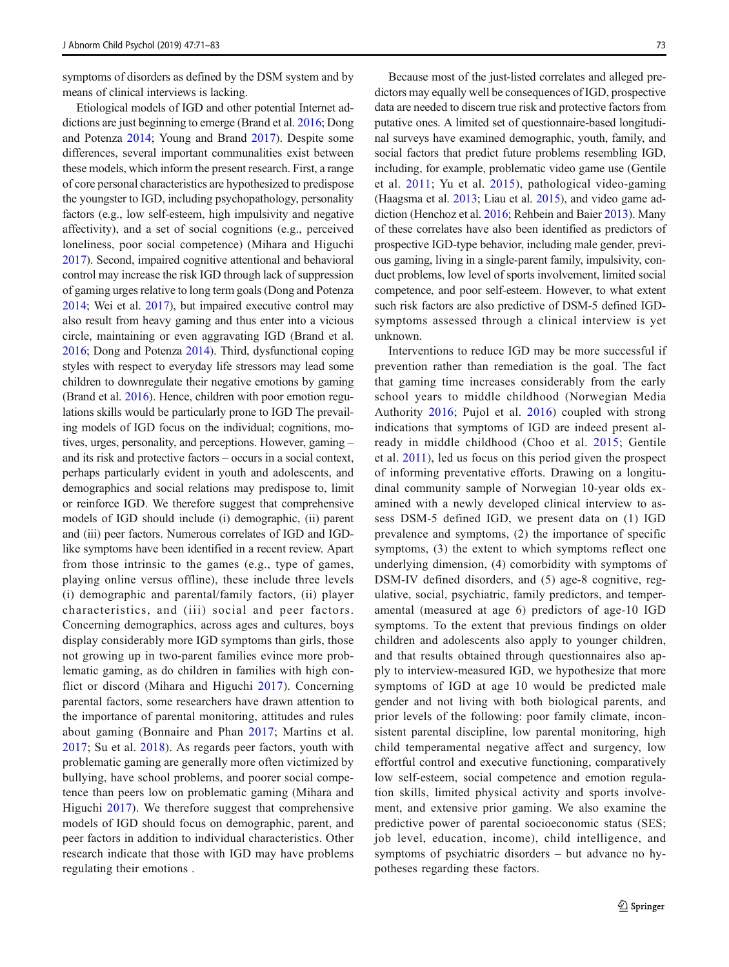symptoms of disorders as defined by the DSM system and by means of clinical interviews is lacking.

Etiological models of IGD and other potential Internet addictions are just beginning to emerge (Brand et al. [2016;](#page-10-0) Dong and Potenza [2014;](#page-11-0) Young and Brand [2017](#page-12-0)). Despite some differences, several important communalities exist between these models, which inform the present research. First, a range of core personal characteristics are hypothesized to predispose the youngster to IGD, including psychopathology, personality factors (e.g., low self-esteem, high impulsivity and negative affectivity), and a set of social cognitions (e.g., perceived loneliness, poor social competence) (Mihara and Higuchi [2017\)](#page-12-0). Second, impaired cognitive attentional and behavioral control may increase the risk IGD through lack of suppression of gaming urges relative to long term goals (Dong and Potenza [2014;](#page-11-0) Wei et al. [2017](#page-12-0)), but impaired executive control may also result from heavy gaming and thus enter into a vicious circle, maintaining or even aggravating IGD (Brand et al. [2016;](#page-10-0) Dong and Potenza [2014](#page-11-0)). Third, dysfunctional coping styles with respect to everyday life stressors may lead some children to downregulate their negative emotions by gaming (Brand et al. [2016\)](#page-10-0). Hence, children with poor emotion regulations skills would be particularly prone to IGD The prevailing models of IGD focus on the individual; cognitions, motives, urges, personality, and perceptions. However, gaming – and its risk and protective factors – occurs in a social context, perhaps particularly evident in youth and adolescents, and demographics and social relations may predispose to, limit or reinforce IGD. We therefore suggest that comprehensive models of IGD should include (i) demographic, (ii) parent and (iii) peer factors. Numerous correlates of IGD and IGDlike symptoms have been identified in a recent review. Apart from those intrinsic to the games (e.g., type of games, playing online versus offline), these include three levels (i) demographic and parental/family factors, (ii) player characteristics, and (iii) social and peer factors. Concerning demographics, across ages and cultures, boys display considerably more IGD symptoms than girls, those not growing up in two-parent families evince more problematic gaming, as do children in families with high conflict or discord (Mihara and Higuchi [2017](#page-12-0)). Concerning parental factors, some researchers have drawn attention to the importance of parental monitoring, attitudes and rules about gaming (Bonnaire and Phan [2017](#page-10-0); Martins et al. [2017](#page-12-0); Su et al. [2018\)](#page-12-0). As regards peer factors, youth with problematic gaming are generally more often victimized by bullying, have school problems, and poorer social competence than peers low on problematic gaming (Mihara and Higuchi [2017\)](#page-12-0). We therefore suggest that comprehensive models of IGD should focus on demographic, parent, and peer factors in addition to individual characteristics. Other research indicate that those with IGD may have problems regulating their emotions .

Because most of the just-listed correlates and alleged predictors may equally well be consequences of IGD, prospective data are needed to discern true risk and protective factors from putative ones. A limited set of questionnaire-based longitudinal surveys have examined demographic, youth, family, and social factors that predict future problems resembling IGD, including, for example, problematic video game use (Gentile et al. [2011](#page-11-0); Yu et al. [2015](#page-12-0)), pathological video-gaming (Haagsma et al. [2013;](#page-11-0) Liau et al. [2015\)](#page-11-0), and video game addiction (Henchoz et al. [2016](#page-11-0); Rehbein and Baier [2013\)](#page-12-0). Many of these correlates have also been identified as predictors of prospective IGD-type behavior, including male gender, previous gaming, living in a single-parent family, impulsivity, conduct problems, low level of sports involvement, limited social competence, and poor self-esteem. However, to what extent such risk factors are also predictive of DSM-5 defined IGDsymptoms assessed through a clinical interview is yet unknown.

Interventions to reduce IGD may be more successful if prevention rather than remediation is the goal. The fact that gaming time increases considerably from the early school years to middle childhood (Norwegian Media Authority [2016;](#page-12-0) Pujol et al. [2016](#page-12-0)) coupled with strong indications that symptoms of IGD are indeed present already in middle childhood (Choo et al. [2015](#page-11-0); Gentile et al. [2011](#page-11-0)), led us focus on this period given the prospect of informing preventative efforts. Drawing on a longitudinal community sample of Norwegian 10-year olds examined with a newly developed clinical interview to assess DSM-5 defined IGD, we present data on (1) IGD prevalence and symptoms, (2) the importance of specific symptoms, (3) the extent to which symptoms reflect one underlying dimension, (4) comorbidity with symptoms of DSM-IV defined disorders, and (5) age-8 cognitive, regulative, social, psychiatric, family predictors, and temperamental (measured at age 6) predictors of age-10 IGD symptoms. To the extent that previous findings on older children and adolescents also apply to younger children, and that results obtained through questionnaires also apply to interview-measured IGD, we hypothesize that more symptoms of IGD at age 10 would be predicted male gender and not living with both biological parents, and prior levels of the following: poor family climate, inconsistent parental discipline, low parental monitoring, high child temperamental negative affect and surgency, low effortful control and executive functioning, comparatively low self-esteem, social competence and emotion regulation skills, limited physical activity and sports involvement, and extensive prior gaming. We also examine the predictive power of parental socioeconomic status (SES; job level, education, income), child intelligence, and symptoms of psychiatric disorders – but advance no hypotheses regarding these factors.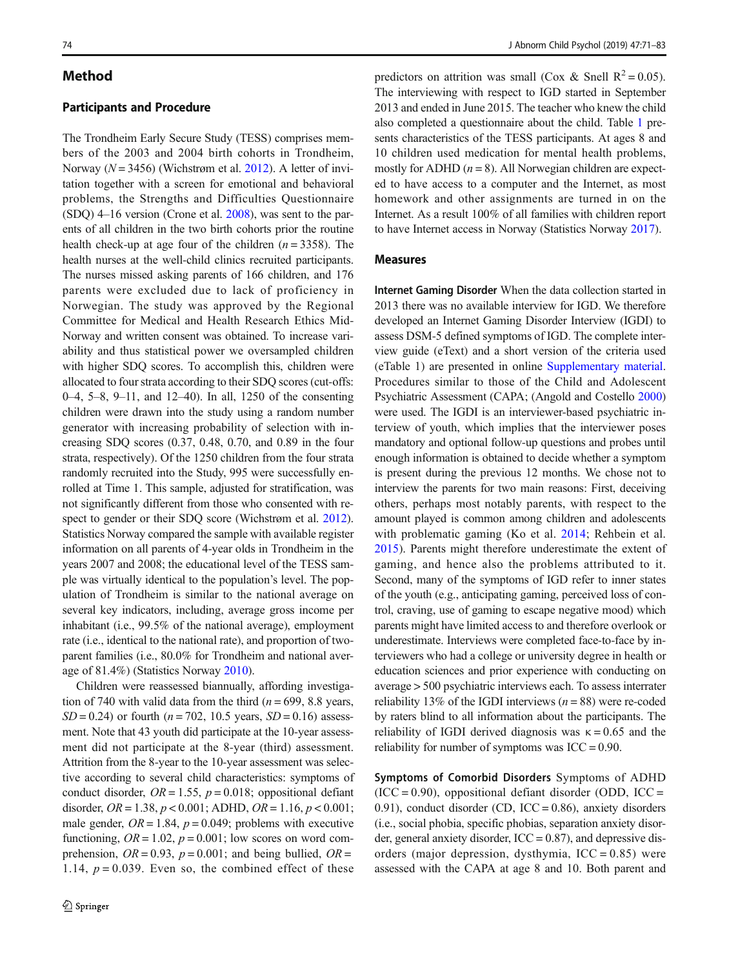## Method

## Participants and Procedure

The Trondheim Early Secure Study (TESS) comprises members of the 2003 and 2004 birth cohorts in Trondheim, Norway ( $N = 3456$ ) (Wichstrøm et al. [2012\)](#page-12-0). A letter of invitation together with a screen for emotional and behavioral problems, the Strengths and Difficulties Questionnaire (SDQ) 4–16 version (Crone et al. [2008](#page-11-0)), was sent to the parents of all children in the two birth cohorts prior the routine health check-up at age four of the children  $(n = 3358)$ . The health nurses at the well-child clinics recruited participants. The nurses missed asking parents of 166 children, and 176 parents were excluded due to lack of proficiency in Norwegian. The study was approved by the Regional Committee for Medical and Health Research Ethics Mid-Norway and written consent was obtained. To increase variability and thus statistical power we oversampled children with higher SDQ scores. To accomplish this, children were allocated to four strata according to their SDQ scores (cut-offs: 0–4, 5–8, 9–11, and 12–40). In all, 1250 of the consenting children were drawn into the study using a random number generator with increasing probability of selection with increasing SDQ scores (0.37, 0.48, 0.70, and 0.89 in the four strata, respectively). Of the 1250 children from the four strata randomly recruited into the Study, 995 were successfully enrolled at Time 1. This sample, adjusted for stratification, was not significantly different from those who consented with respect to gender or their SDQ score (Wichstrøm et al. [2012\)](#page-12-0). Statistics Norway compared the sample with available register information on all parents of 4-year olds in Trondheim in the years 2007 and 2008; the educational level of the TESS sample was virtually identical to the population's level. The population of Trondheim is similar to the national average on several key indicators, including, average gross income per inhabitant (i.e., 99.5% of the national average), employment rate (i.e., identical to the national rate), and proportion of twoparent families (i.e., 80.0% for Trondheim and national average of 81.4%) (Statistics Norway [2010\)](#page-12-0).

Children were reassessed biannually, affording investigation of 740 with valid data from the third ( $n = 699$ , 8.8 years,  $SD = 0.24$ ) or fourth ( $n = 702$ , 10.5 years,  $SD = 0.16$ ) assessment. Note that 43 youth did participate at the 10-year assessment did not participate at the 8-year (third) assessment. Attrition from the 8-year to the 10-year assessment was selective according to several child characteristics: symptoms of conduct disorder,  $OR = 1.55$ ,  $p = 0.018$ ; oppositional defiant disorder,  $OR = 1.38$ ,  $p < 0.001$ ; ADHD,  $OR = 1.16$ ,  $p < 0.001$ ; male gender,  $OR = 1.84$ ,  $p = 0.049$ ; problems with executive functioning,  $OR = 1.02$ ,  $p = 0.001$ ; low scores on word comprehension,  $OR = 0.93$ ,  $p = 0.001$ ; and being bullied,  $OR =$ 1.14,  $p = 0.039$ . Even so, the combined effect of these predictors on attrition was small (Cox & Snell  $R^2 = 0.05$ ). The interviewing with respect to IGD started in September 2013 and ended in June 2015. The teacher who knew the child also completed a questionnaire about the child. Table [1](#page-4-0) presents characteristics of the TESS participants. At ages 8 and 10 children used medication for mental health problems, mostly for ADHD  $(n = 8)$ . All Norwegian children are expected to have access to a computer and the Internet, as most homework and other assignments are turned in on the Internet. As a result 100% of all families with children report to have Internet access in Norway (Statistics Norway [2017](#page-12-0)).

#### Measures

Internet Gaming Disorder When the data collection started in 2013 there was no available interview for IGD. We therefore developed an Internet Gaming Disorder Interview (IGDI) to assess DSM-5 defined symptoms of IGD. The complete interview guide (eText) and a short version of the criteria used (eTable 1) are presented in online Supplementary material. Procedures similar to those of the Child and Adolescent Psychiatric Assessment (CAPA; (Angold and Costello [2000](#page-10-0)) were used. The IGDI is an interviewer-based psychiatric interview of youth, which implies that the interviewer poses mandatory and optional follow-up questions and probes until enough information is obtained to decide whether a symptom is present during the previous 12 months. We chose not to interview the parents for two main reasons: First, deceiving others, perhaps most notably parents, with respect to the amount played is common among children and adolescents with problematic gaming (Ko et al. [2014](#page-11-0); Rehbein et al. [2015\)](#page-12-0). Parents might therefore underestimate the extent of gaming, and hence also the problems attributed to it. Second, many of the symptoms of IGD refer to inner states of the youth (e.g., anticipating gaming, perceived loss of control, craving, use of gaming to escape negative mood) which parents might have limited access to and therefore overlook or underestimate. Interviews were completed face-to-face by interviewers who had a college or university degree in health or education sciences and prior experience with conducting on average > 500 psychiatric interviews each. To assess interrater reliability 13% of the IGDI interviews ( $n = 88$ ) were re-coded by raters blind to all information about the participants. The reliability of IGDI derived diagnosis was  $\kappa = 0.65$  and the reliability for number of symptoms was  $ICC = 0.90$ .

Symptoms of Comorbid Disorders Symptoms of ADHD  $(ICC = 0.90)$ , oppositional defiant disorder (ODD,  $ICC =$ 0.91), conduct disorder (CD,  $ICC = 0.86$ ), anxiety disorders (i.e., social phobia, specific phobias, separation anxiety disorder, general anxiety disorder,  $ICC = 0.87$ , and depressive disorders (major depression, dysthymia,  $ICC = 0.85)$  were assessed with the CAPA at age 8 and 10. Both parent and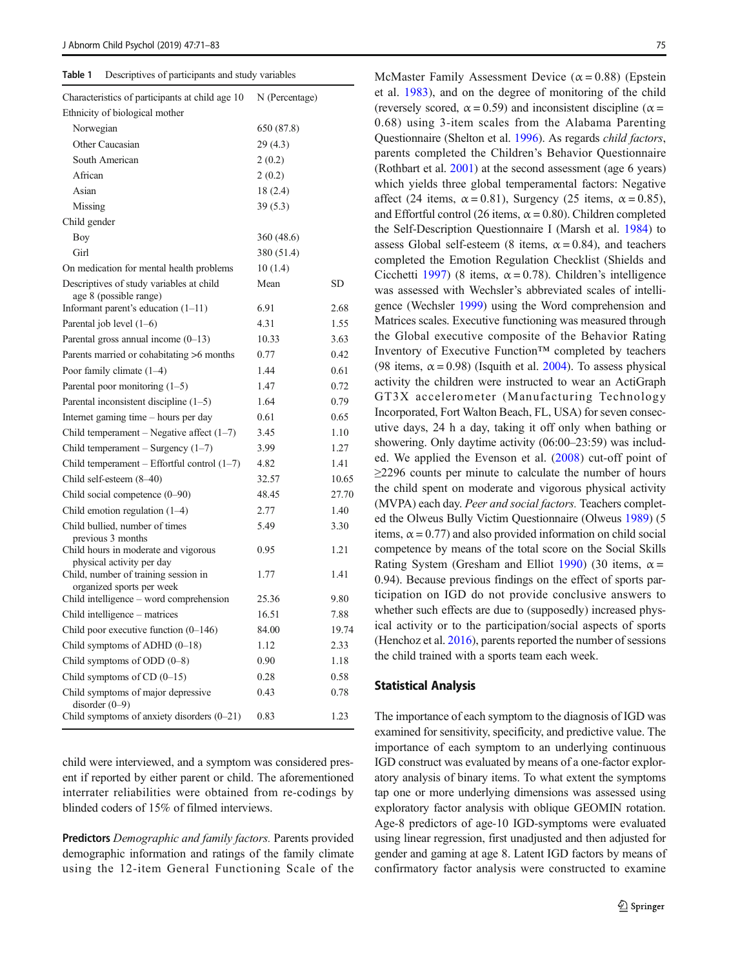<span id="page-4-0"></span>

| Table 1 | Descriptives of participants and study variables |  |  |  |
|---------|--------------------------------------------------|--|--|--|
|---------|--------------------------------------------------|--|--|--|

| Characteristics of participants at child age 10                    | N (Percentage) |       |
|--------------------------------------------------------------------|----------------|-------|
| Ethnicity of biological mother                                     |                |       |
| Norwegian                                                          | 650 (87.8)     |       |
| Other Caucasian                                                    | 29(4.3)        |       |
| South American                                                     | 2(0.2)         |       |
| African                                                            | 2(0.2)         |       |
| Asian                                                              | 18(2.4)        |       |
| Missing                                                            | 39(5.3)        |       |
| Child gender                                                       |                |       |
| Boy                                                                | 360 (48.6)     |       |
| Girl                                                               | 380 (51.4)     |       |
| On medication for mental health problems                           | 10(1.4)        |       |
| Descriptives of study variables at child<br>age 8 (possible range) | Mean           | SD    |
| Informant parent's education $(1-11)$                              | 6.91           | 2.68  |
| Parental job level $(1-6)$                                         | 4.31           | 1.55  |
| Parental gross annual income $(0-13)$                              | 10.33          | 3.63  |
| Parents married or cohabitating >6 months                          | 0.77           | 0.42  |
| Poor family climate $(1-4)$                                        | 1.44           | 0.61  |
| Parental poor monitoring $(1-5)$                                   | 1.47           | 0.72  |
| Parental inconsistent discipline $(1-5)$                           | 1.64           | 0.79  |
| Internet gaming time - hours per day                               | 0.61           | 0.65  |
| Child temperament – Negative affect $(1-7)$                        | 3.45           | 1.10  |
| Child temperament $-$ Surgency (1–7)                               | 3.99           | 1.27  |
| Child temperament - Effortful control (1-7)                        | 4.82           | 1.41  |
| Child self-esteem (8-40)                                           | 32.57          | 10.65 |
| Child social competence $(0-90)$                                   | 48.45          | 27.70 |
| Child emotion regulation $(1-4)$                                   | 2.77           | 1.40  |
| Child bullied, number of times<br>previous 3 months                | 5.49           | 3.30  |
| Child hours in moderate and vigorous<br>physical activity per day  | 0.95           | 1.21  |
| Child, number of training session in<br>organized sports per week  | 1.77           | 1.41  |
| Child intelligence – word comprehension                            | 25.36          | 9.80  |
| Child intelligence – matrices                                      | 16.51          | 7.88  |
| Child poor executive function $(0-146)$                            | 84.00          | 19.74 |
| Child symptoms of ADHD $(0-18)$                                    | 1.12           | 2.33  |
| Child symptoms of ODD $(0-8)$                                      | 0.90           | 1.18  |
| Child symptoms of $CD$ (0-15)                                      | 0.28           | 0.58  |
| Child symptoms of major depressive<br>disorder $(0-9)$             | 0.43           | 0.78  |
| Child symptoms of anxiety disorders (0-21)                         | 0.83           | 1.23  |

child were interviewed, and a symptom was considered present if reported by either parent or child. The aforementioned interrater reliabilities were obtained from re-codings by blinded coders of 15% of filmed interviews.

Predictors Demographic and family factors. Parents provided demographic information and ratings of the family climate using the 12-item General Functioning Scale of the McMaster Family Assessment Device ( $\alpha$  = 0.88) (Epstein et al. [1983](#page-11-0)), and on the degree of monitoring of the child (reversely scored,  $\alpha$  = 0.59) and inconsistent discipline ( $\alpha$  = 0.68) using 3-item scales from the Alabama Parenting Questionnaire (Shelton et al. [1996\)](#page-12-0). As regards child factors, parents completed the Children's Behavior Questionnaire (Rothbart et al. [2001](#page-12-0)) at the second assessment (age 6 years) which yields three global temperamental factors: Negative affect (24 items,  $\alpha = 0.81$ ), Surgency (25 items,  $\alpha = 0.85$ ), and Effortful control (26 items,  $\alpha$  = 0.80). Children completed the Self-Description Questionnaire I (Marsh et al. [1984\)](#page-11-0) to assess Global self-esteem (8 items,  $\alpha = 0.84$ ), and teachers completed the Emotion Regulation Checklist (Shields and Cicchetti [1997](#page-12-0)) (8 items,  $\alpha = 0.78$ ). Children's intelligence was assessed with Wechsler's abbreviated scales of intelligence (Wechsler [1999\)](#page-12-0) using the Word comprehension and Matrices scales. Executive functioning was measured through the Global executive composite of the Behavior Rating Inventory of Executive Function™ completed by teachers (98 items,  $\alpha$  = 0.98) (Isquith et al. [2004](#page-11-0)). To assess physical activity the children were instructed to wear an ActiGraph GT3X accelerometer (Manufacturing Technology Incorporated, Fort Walton Beach, FL, USA) for seven consecutive days, 24 h a day, taking it off only when bathing or showering. Only daytime activity (06:00–23:59) was included. We applied the Evenson et al. ([2008\)](#page-11-0) cut-off point of ≥2296 counts per minute to calculate the number of hours the child spent on moderate and vigorous physical activity (MVPA) each day. Peer and social factors. Teachers completed the Olweus Bully Victim Questionnaire (Olweus [1989](#page-12-0)) (5 items,  $\alpha = 0.77$ ) and also provided information on child social competence by means of the total score on the Social Skills Rating System (Gresham and Elliot [1990](#page-11-0)) (30 items,  $\alpha$  = 0.94). Because previous findings on the effect of sports participation on IGD do not provide conclusive answers to whether such effects are due to (supposedly) increased physical activity or to the participation/social aspects of sports (Henchoz et al. [2016\)](#page-11-0), parents reported the number of sessions the child trained with a sports team each week.

## Statistical Analysis

The importance of each symptom to the diagnosis of IGD was examined for sensitivity, specificity, and predictive value. The importance of each symptom to an underlying continuous IGD construct was evaluated by means of a one-factor exploratory analysis of binary items. To what extent the symptoms tap one or more underlying dimensions was assessed using exploratory factor analysis with oblique GEOMIN rotation. Age-8 predictors of age-10 IGD-symptoms were evaluated using linear regression, first unadjusted and then adjusted for gender and gaming at age 8. Latent IGD factors by means of confirmatory factor analysis were constructed to examine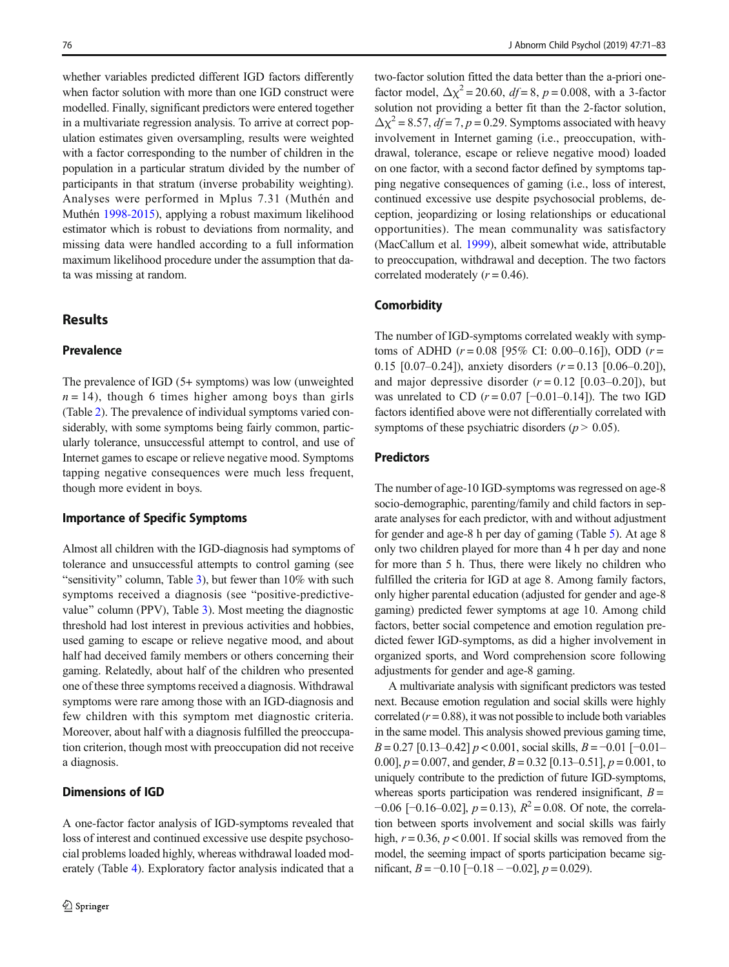whether variables predicted different IGD factors differently when factor solution with more than one IGD construct were modelled. Finally, significant predictors were entered together in a multivariate regression analysis. To arrive at correct population estimates given oversampling, results were weighted with a factor corresponding to the number of children in the population in a particular stratum divided by the number of participants in that stratum (inverse probability weighting). Analyses were performed in Mplus 7.31 (Muthén and Muthén [1998-2015\)](#page-12-0), applying a robust maximum likelihood estimator which is robust to deviations from normality, and missing data were handled according to a full information maximum likelihood procedure under the assumption that data was missing at random.

# **Results**

## Prevalence

The prevalence of IGD (5+ symptoms) was low (unweighted  $n = 14$ ), though 6 times higher among boys than girls (Table [2\)](#page-6-0). The prevalence of individual symptoms varied considerably, with some symptoms being fairly common, particularly tolerance, unsuccessful attempt to control, and use of Internet games to escape or relieve negative mood. Symptoms tapping negative consequences were much less frequent, though more evident in boys.

#### Importance of Specific Symptoms

Almost all children with the IGD-diagnosis had symptoms of tolerance and unsuccessful attempts to control gaming (see "sensitivity" column, Table [3](#page-6-0)), but fewer than  $10\%$  with such symptoms received a diagnosis (see "positive-predictive-value" column (PPV), Table [3\)](#page-6-0). Most meeting the diagnostic threshold had lost interest in previous activities and hobbies, used gaming to escape or relieve negative mood, and about half had deceived family members or others concerning their gaming. Relatedly, about half of the children who presented one of these three symptoms received a diagnosis. Withdrawal symptoms were rare among those with an IGD-diagnosis and few children with this symptom met diagnostic criteria. Moreover, about half with a diagnosis fulfilled the preoccupation criterion, though most with preoccupation did not receive a diagnosis.

## Dimensions of IGD

A one-factor factor analysis of IGD-symptoms revealed that loss of interest and continued excessive use despite psychosocial problems loaded highly, whereas withdrawal loaded moderately (Table [4](#page-7-0)). Exploratory factor analysis indicated that a

two-factor solution fitted the data better than the a-priori onefactor model,  $\Delta \chi^2 = 20.60$ ,  $df = 8$ ,  $p = 0.008$ , with a 3-factor solution not providing a better fit than the 2-factor solution,  $\Delta x^2$  = 8.57,  $df = 7$ ,  $p = 0.29$ . Symptoms associated with heavy involvement in Internet gaming (i.e., preoccupation, withdrawal, tolerance, escape or relieve negative mood) loaded on one factor, with a second factor defined by symptoms tapping negative consequences of gaming (i.e., loss of interest, continued excessive use despite psychosocial problems, deception, jeopardizing or losing relationships or educational opportunities). The mean communality was satisfactory (MacCallum et al. [1999](#page-11-0)), albeit somewhat wide, attributable to preoccupation, withdrawal and deception. The two factors correlated moderately  $(r = 0.46)$ .

## **Comorbidity**

The number of IGD-symptoms correlated weakly with symptoms of ADHD ( $r = 0.08$  [95% CI: 0.00–0.16]), ODD ( $r =$ 0.15 [0.07–0.24]), anxiety disorders  $(r = 0.13$  [0.06–0.20]), and major depressive disorder  $(r = 0.12 \, [0.03 - 0.20])$ , but was unrelated to CD ( $r = 0.07$  [-0.01–0.14]). The two IGD factors identified above were not differentially correlated with symptoms of these psychiatric disorders ( $p > 0.05$ ).

### **Predictors**

The number of age-10 IGD-symptoms was regressed on age-8 socio-demographic, parenting/family and child factors in separate analyses for each predictor, with and without adjustment for gender and age-8 h per day of gaming (Table [5\)](#page-8-0). At age 8 only two children played for more than 4 h per day and none for more than 5 h. Thus, there were likely no children who fulfilled the criteria for IGD at age 8. Among family factors, only higher parental education (adjusted for gender and age-8 gaming) predicted fewer symptoms at age 10. Among child factors, better social competence and emotion regulation predicted fewer IGD-symptoms, as did a higher involvement in organized sports, and Word comprehension score following adjustments for gender and age-8 gaming.

A multivariate analysis with significant predictors was tested next. Because emotion regulation and social skills were highly correlated  $(r = 0.88)$ , it was not possible to include both variables in the same model. This analysis showed previous gaming time,  $B = 0.27$  [0.13–0.42]  $p < 0.001$ , social skills,  $B = -0.01$  [−0.01– 0.00],  $p = 0.007$ , and gender,  $B = 0.32$  [0.13–0.51],  $p = 0.001$ , to uniquely contribute to the prediction of future IGD-symptoms, whereas sports participation was rendered insignificant,  $B =$  $-0.06$  [ $-0.16$ -0.02],  $p = 0.13$ ),  $R^2 = 0.08$ . Of note, the correlation between sports involvement and social skills was fairly high,  $r = 0.36$ ,  $p < 0.001$ . If social skills was removed from the model, the seeming impact of sports participation became significant,  $B = -0.10$  [−0.18 – −0.02],  $p = 0.029$ ).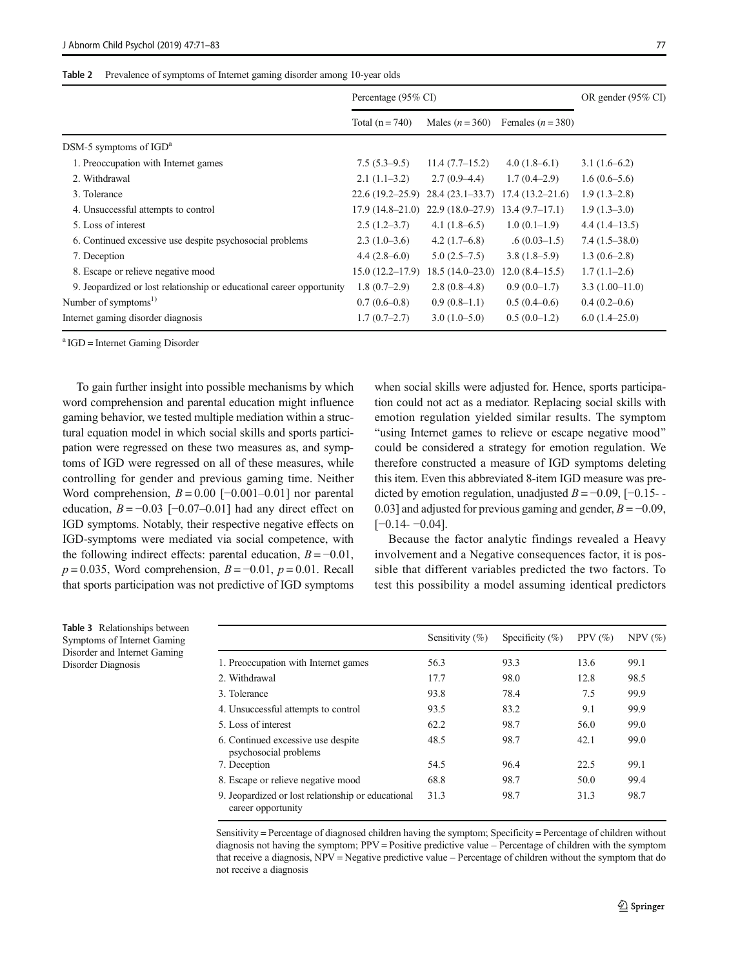| $\log 10^{-9}$ val Olus<br>Percentage (95% CI) |                                                         | OR gender $(95\% \text{ CI})$ |
|------------------------------------------------|---------------------------------------------------------|-------------------------------|
|                                                | Total $(n = 740)$ Males $(n = 360)$ Females $(n = 380)$ |                               |
|                                                |                                                         |                               |

<span id="page-6-0"></span>

| DSM-5 symptoms of $IGDa$                                              |                     |                                                        |                  |                  |  |
|-----------------------------------------------------------------------|---------------------|--------------------------------------------------------|------------------|------------------|--|
| 1. Preoccupation with Internet games                                  | $7.5(5.3-9.5)$      | $11.4(7.7-15.2)$                                       | $4.0(1.8-6.1)$   | $3.1(1.6-6.2)$   |  |
| 2. Withdrawal                                                         | $2.1(1.1-3.2)$      | $2.7(0.9-4.4)$                                         | $1.7(0.4-2.9)$   | $1.6(0.6-5.6)$   |  |
| 3. Tolerance                                                          |                     | $22.6(19.2-25.9)$ $28.4(23.1-33.7)$ 17.4 $(13.2-21.6)$ |                  | $1.9(1.3-2.8)$   |  |
| 4. Unsuccessful attempts to control                                   |                     | $17.9(14.8-21.0)$ 22.9 $(18.0-27.9)$                   | $13.4(9.7-17.1)$ | $1.9(1.3-3.0)$   |  |
| 5. Loss of interest                                                   | $2.5(1.2-3.7)$      | $4.1(1.8-6.5)$                                         | $1.0(0.1-1.9)$   | $4.4(1.4-13.5)$  |  |
| 6. Continued excessive use despite psychosocial problems              | $2.3(1.0-3.6)$      | $4.2(1.7-6.8)$                                         | $.6(0.03-1.5)$   | $7.4(1.5-38.0)$  |  |
| 7. Deception                                                          | $4.4(2.8-6.0)$      | $5.0(2.5-7.5)$                                         | $3.8(1.8-5.9)$   | $1.3(0.6-2.8)$   |  |
| 8. Escape or relieve negative mood                                    | $15.0(12.2 - 17.9)$ | $18.5(14.0-23.0)$                                      | $12.0(8.4-15.5)$ | $1.7(1.1-2.6)$   |  |
| 9. Jeopardized or lost relationship or educational career opportunity | $1.8(0.7-2.9)$      | $2.8(0.8-4.8)$                                         | $0.9(0.0-1.7)$   | $3.3(1.00-11.0)$ |  |
| Number of symptoms <sup>1)</sup>                                      | $0.7(0.6-0.8)$      | $0.9(0.8-1.1)$                                         | $0.5(0.4-0.6)$   | $0.4(0.2-0.6)$   |  |
| Internet gaming disorder diagnosis                                    | $1.7(0.7-2.7)$      | $3.0(1.0-5.0)$                                         | $0.5(0.0-1.2)$   | $6.0(1.4-25.0)$  |  |
|                                                                       |                     |                                                        |                  |                  |  |

a IGD = Internet Gaming Disorder

To gain further insight into possible mechanisms by which word comprehension and parental education might influence gaming behavior, we tested multiple mediation within a structural equation model in which social skills and sports participation were regressed on these two measures as, and symptoms of IGD were regressed on all of these measures, while controlling for gender and previous gaming time. Neither Word comprehension,  $B = 0.00$  [-0.001–0.01] nor parental education,  $B = -0.03$  [-0.07–0.01] had any direct effect on IGD symptoms. Notably, their respective negative effects on IGD-symptoms were mediated via social competence, with the following indirect effects: parental education,  $B = -0.01$ ,  $p = 0.035$ , Word comprehension,  $B = -0.01$ ,  $p = 0.01$ . Recall that sports participation was not predictive of IGD symptoms when social skills were adjusted for. Hence, sports participation could not act as a mediator. Replacing social skills with emotion regulation yielded similar results. The symptom "using Internet games to relieve or escape negative mood" could be considered a strategy for emotion regulation. We therefore constructed a measure of IGD symptoms deleting this item. Even this abbreviated 8-item IGD measure was predicted by emotion regulation, unadjusted  $B = -0.09$ , [-0.15-0.03] and adjusted for previous gaming and gender,  $B = -0.09$ .  $[-0.14 - 0.04]$ .

Because the factor analytic findings revealed a Heavy involvement and a Negative consequences factor, it is possible that different variables predicted the two factors. To test this possibility a model assuming identical predictors

Table 3 Relationships between Symptoms of Internet Gaming Disorder and Internet Gaming Disorder Diagnosis

|                                                                          | Sensitivity $(\% )$ | Specificity $(\%)$ | PPV $(\%)$ | $NPV$ $(\%)$ |
|--------------------------------------------------------------------------|---------------------|--------------------|------------|--------------|
| 1. Preoccupation with Internet games                                     | 56.3                | 93.3               | 13.6       | 99.1         |
| 2. Withdrawal                                                            | 17.7                | 98.0               | 12.8       | 98.5         |
| 3. Tolerance                                                             | 93.8                | 78.4               | 7.5        | 99.9         |
| 4. Unsuccessful attempts to control                                      | 93.5                | 83.2               | 9.1        | 99.9         |
| 5. Loss of interest                                                      | 62.2                | 98.7               | 56.0       | 99.0         |
| 6. Continued excessive use despite<br>psychosocial problems              | 48.5                | 98.7               | 42.1       | 99.0         |
| 7. Deception                                                             | 54.5                | 96.4               | 22.5       | 99.1         |
| 8. Escape or relieve negative mood                                       | 68.8                | 98.7               | 50.0       | 99.4         |
| 9. Jeopardized or lost relationship or educational<br>career opportunity | 31.3                | 98.7               | 31.3       | 98.7         |

Sensitivity = Percentage of diagnosed children having the symptom; Specificity = Percentage of children without diagnosis not having the symptom; PPV = Positive predictive value – Percentage of children with the symptom that receive a diagnosis, NPV = Negative predictive value – Percentage of children without the symptom that do not receive a diagnosis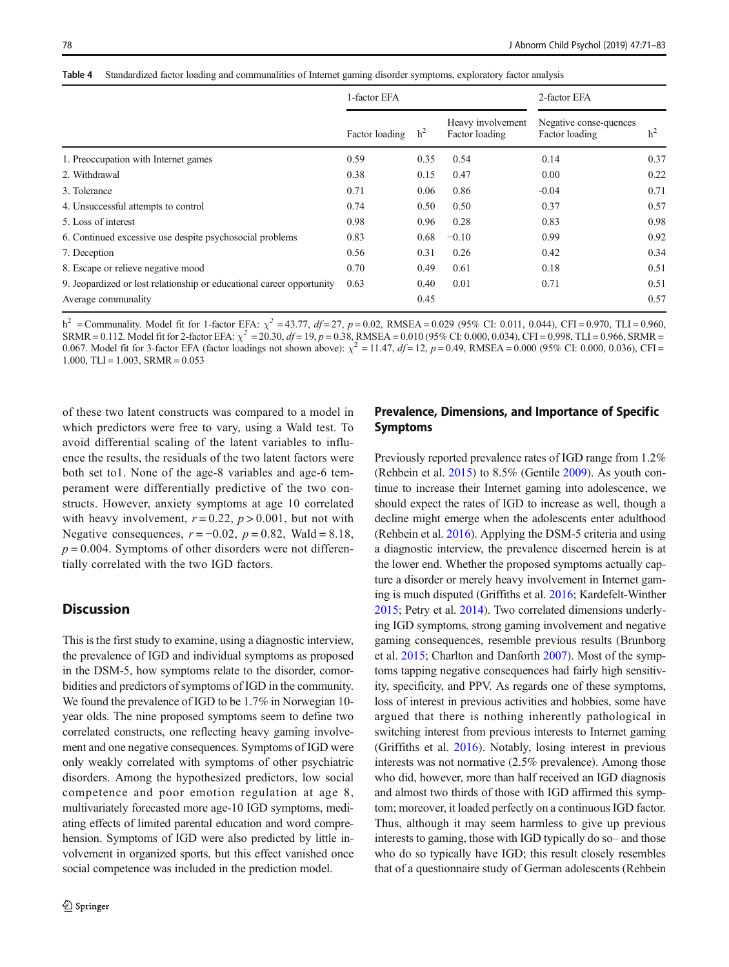<span id="page-7-0"></span>

|  | Table 4 Standardized factor loading and communalities of Internet gaming disorder symptoms, exploratory factor analysis |  |  |  |  |  |
|--|-------------------------------------------------------------------------------------------------------------------------|--|--|--|--|--|
|--|-------------------------------------------------------------------------------------------------------------------------|--|--|--|--|--|

|                                                                       | 1-factor EFA   |       | 2-factor EFA                        |                                          |                |
|-----------------------------------------------------------------------|----------------|-------|-------------------------------------|------------------------------------------|----------------|
|                                                                       | Factor loading | $h^2$ | Heavy involvement<br>Factor loading | Negative conse-quences<br>Factor loading | h <sup>2</sup> |
| 1. Preoccupation with Internet games                                  | 0.59           | 0.35  | 0.54                                | 0.14                                     | 0.37           |
| 2. Withdrawal                                                         | 0.38           | 0.15  | 0.47                                | 0.00                                     | 0.22           |
| 3. Tolerance                                                          | 0.71           | 0.06  | 0.86                                | $-0.04$                                  | 0.71           |
| 4. Unsuccessful attempts to control                                   | 0.74           | 0.50  | 0.50                                | 0.37                                     | 0.57           |
| 5. Loss of interest                                                   | 0.98           | 0.96  | 0.28                                | 0.83                                     | 0.98           |
| 6. Continued excessive use despite psychosocial problems              | 0.83           | 0.68  | $-0.10$                             | 0.99                                     | 0.92           |
| 7. Deception                                                          | 0.56           | 0.31  | 0.26                                | 0.42                                     | 0.34           |
| 8. Escape or relieve negative mood                                    | 0.70           | 0.49  | 0.61                                | 0.18                                     | 0.51           |
| 9. Jeopardized or lost relationship or educational career opportunity | 0.63           | 0.40  | 0.01                                | 0.71                                     | 0.51           |
| Average communality                                                   |                | 0.45  |                                     |                                          | 0.57           |

 $h^2$  = Communality. Model fit for 1-factor EFA:  $\chi^2$  = 43.77, df = 27, p = 0.02, RMSEA = 0.029 (95% CI: 0.011, 0.044), CFI = 0.970, TLI = 0.960, SRMR = 0.112. Model fit for 2-factor EFA:  $\chi^2$  = 20.30,  $df = 19$ ,  $p = 0.38$ , RMSEA = 0.010 (95% CI: 0.000, 0.034), CFI = 0.998, TLI = 0.966, SRMR = 0.067. Model fit for 3-factor EFA (factor loadings not shown above):  $\chi^2 = 11.47$ ,  $df = 12$ ,  $p = 0.49$ , RMSEA = 0.000 (95% CI: 0.000, 0.036), CFI = 1.000, TLI =  $1.003$ , SRMR =  $0.053$ 

of these two latent constructs was compared to a model in which predictors were free to vary, using a Wald test. To avoid differential scaling of the latent variables to influence the results, the residuals of the two latent factors were both set to1. None of the age-8 variables and age-6 temperament were differentially predictive of the two constructs. However, anxiety symptoms at age 10 correlated with heavy involvement,  $r = 0.22$ ,  $p > 0.001$ , but not with Negative consequences,  $r = -0.02$ ,  $p = 0.82$ , Wald = 8.18,  $p = 0.004$ . Symptoms of other disorders were not differentially correlated with the two IGD factors.

## **Discussion**

This is the first study to examine, using a diagnostic interview, the prevalence of IGD and individual symptoms as proposed in the DSM-5, how symptoms relate to the disorder, comorbidities and predictors of symptoms of IGD in the community. We found the prevalence of IGD to be 1.7% in Norwegian 10year olds. The nine proposed symptoms seem to define two correlated constructs, one reflecting heavy gaming involvement and one negative consequences. Symptoms of IGD were only weakly correlated with symptoms of other psychiatric disorders. Among the hypothesized predictors, low social competence and poor emotion regulation at age 8, multivariately forecasted more age-10 IGD symptoms, mediating effects of limited parental education and word comprehension. Symptoms of IGD were also predicted by little involvement in organized sports, but this effect vanished once social competence was included in the prediction model.

# Prevalence, Dimensions, and Importance of Specific Symptoms

Previously reported prevalence rates of IGD range from 1.2% (Rehbein et al. [2015](#page-12-0)) to 8.5% (Gentile [2009\)](#page-11-0). As youth continue to increase their Internet gaming into adolescence, we should expect the rates of IGD to increase as well, though a decline might emerge when the adolescents enter adulthood (Rehbein et al. [2016\)](#page-12-0). Applying the DSM-5 criteria and using a diagnostic interview, the prevalence discerned herein is at the lower end. Whether the proposed symptoms actually capture a disorder or merely heavy involvement in Internet gaming is much disputed (Griffiths et al. [2016](#page-11-0); Kardefelt-Winther [2015;](#page-11-0) Petry et al. [2014](#page-12-0)). Two correlated dimensions underlying IGD symptoms, strong gaming involvement and negative gaming consequences, resemble previous results (Brunborg et al. [2015](#page-11-0); Charlton and Danforth [2007](#page-11-0)). Most of the symptoms tapping negative consequences had fairly high sensitivity, specificity, and PPV. As regards one of these symptoms, loss of interest in previous activities and hobbies, some have argued that there is nothing inherently pathological in switching interest from previous interests to Internet gaming (Griffiths et al. [2016\)](#page-11-0). Notably, losing interest in previous interests was not normative (2.5% prevalence). Among those who did, however, more than half received an IGD diagnosis and almost two thirds of those with IGD affirmed this symptom; moreover, it loaded perfectly on a continuous IGD factor. Thus, although it may seem harmless to give up previous interests to gaming, those with IGD typically do so– and those who do so typically have IGD; this result closely resembles that of a questionnaire study of German adolescents (Rehbein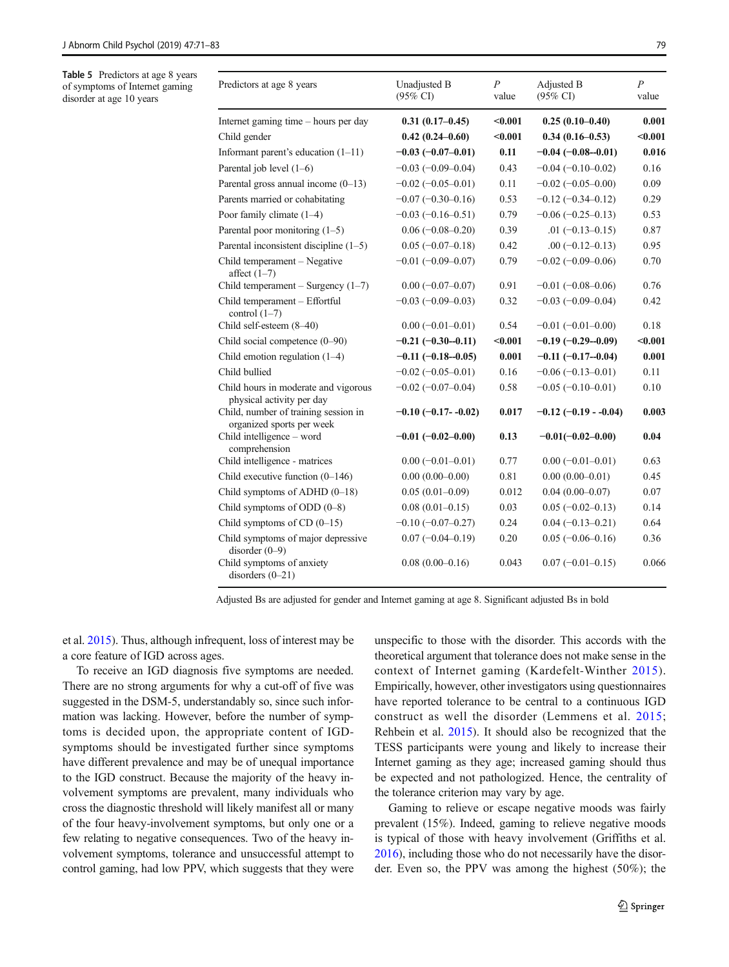<span id="page-8-0"></span>Table 5 Predictors at age 8 years of symptoms of Internet gaming disorder at age 10 years

| Predictors at age 8 years                                         | Unadjusted B<br>$(95\% \text{ CI})$ | $\overline{P}$<br>value | Adjusted B<br>$(95\% \text{ CI})$ | $\overline{P}$<br>value |
|-------------------------------------------------------------------|-------------------------------------|-------------------------|-----------------------------------|-------------------------|
| Internet gaming time - hours per day                              | $0.31(0.17-0.45)$                   | $0.001$                 | $0.25(0.10-0.40)$                 | 0.001                   |
| Child gender                                                      | $0.42(0.24 - 0.60)$                 | $0.001$                 | $0.34(0.16 - 0.53)$               | $0.001$                 |
| Informant parent's education $(1-11)$                             | $-0.03(-0.07-0.01)$                 | 0.11                    | $-0.04(-0.08-0.01)$               | 0.016                   |
| Parental job level (1-6)                                          | $-0.03(-0.09-0.04)$                 | 0.43                    | $-0.04 (-0.10 - 0.02)$            | 0.16                    |
| Parental gross annual income $(0-13)$                             | $-0.02$ ( $-0.05-0.01$ )            | 0.11                    | $-0.02$ $(-0.05-0.00)$            | 0.09                    |
| Parents married or cohabitating                                   | $-0.07(-0.30-0.16)$                 | 0.53                    | $-0.12(-0.34-0.12)$               | 0.29                    |
| Poor family climate (1-4)                                         | $-0.03(-0.16-0.51)$                 | 0.79                    | $-0.06 (-0.25 - 0.13)$            | 0.53                    |
| Parental poor monitoring (1-5)                                    | $0.06 (-0.08 - 0.20)$               | 0.39                    | .01 $(-0.13 - 0.15)$              | 0.87                    |
| Parental inconsistent discipline $(1-5)$                          | $0.05 (-0.07 - 0.18)$               | 0.42                    | $.00 (-0.12 - 0.13)$              | 0.95                    |
| Child temperament - Negative<br>affect $(1-7)$                    | $-0.01(-0.09-0.07)$                 | 0.79                    | $-0.02$ $(-0.09-0.06)$            | 0.70                    |
| Child temperament $-$ Surgency (1–7)                              | $0.00 (-0.07 - 0.07)$               | 0.91                    | $-0.01 (-0.08 - 0.06)$            | 0.76                    |
| Child temperament - Effortful<br>control $(1-7)$                  | $-0.03(-0.09-0.03)$                 | 0.32                    | $-0.03$ $(-0.09 - 0.04)$          | 0.42                    |
| Child self-esteem (8-40)                                          | $0.00 (-0.01 - 0.01)$               | 0.54                    | $-0.01(-0.01-0.00)$               | 0.18                    |
| Child social competence (0-90)                                    | $-0.21 (-0.30 - 0.11)$              | $0.001$                 | $-0.19(-0.29-0.09)$               | < 0.001                 |
| Child emotion regulation $(1-4)$                                  | $-0.11(-0.18-0.05)$                 | 0.001                   | $-0.11$ $(-0.17 - 0.04)$          | 0.001                   |
| Child bullied                                                     | $-0.02$ ( $-0.05-0.01$ )            | 0.16                    | $-0.06(-0.13-0.01)$               | 0.11                    |
| Child hours in moderate and vigorous<br>physical activity per day | $-0.02$ ( $-0.07-0.04$ )            | 0.58                    | $-0.05(-0.10-0.01)$               | 0.10                    |
| Child, number of training session in<br>organized sports per week | $-0.10$ (-0.17- -0.02)              | 0.017                   | $-0.12$ (-0.19 - -0.04)           | 0.003                   |
| Child intelligence – word<br>comprehension                        | $-0.01(-0.02-0.00)$                 | 0.13                    | $-0.01(-0.02-0.00)$               | 0.04                    |
| Child intelligence - matrices                                     | $0.00 (-0.01 - 0.01)$               | 0.77                    | $0.00 (-0.01 - 0.01)$             | 0.63                    |
| Child executive function $(0-146)$                                | $0.00(0.00-0.00)$                   | 0.81                    | $0.00(0.00-0.01)$                 | 0.45                    |
| Child symptoms of ADHD (0-18)                                     | $0.05(0.01-0.09)$                   | 0.012                   | $0.04(0.00-0.07)$                 | 0.07                    |
| Child symptoms of ODD $(0-8)$                                     | $0.08(0.01-0.15)$                   | 0.03                    | $0.05 (-0.02 - 0.13)$             | 0.14                    |
| Child symptoms of $CD$ (0-15)                                     | $-0.10$ $(-0.07-0.27)$              | 0.24                    | $0.04 (-0.13 - 0.21)$             | 0.64                    |
| Child symptoms of major depressive<br>disorder $(0-9)$            | $0.07 (-0.04 - 0.19)$               | 0.20                    | $0.05 (-0.06 - 0.16)$             | 0.36                    |
| Child symptoms of anxiety<br>disorders $(0-21)$                   | $0.08(0.00-0.16)$                   | 0.043                   | $0.07 (-0.01 - 0.15)$             | 0.066                   |

Adjusted Bs are adjusted for gender and Internet gaming at age 8. Significant adjusted Bs in bold

et al. [2015](#page-12-0)). Thus, although infrequent, loss of interest may be a core feature of IGD across ages.

To receive an IGD diagnosis five symptoms are needed. There are no strong arguments for why a cut-off of five was suggested in the DSM-5, understandably so, since such information was lacking. However, before the number of symptoms is decided upon, the appropriate content of IGDsymptoms should be investigated further since symptoms have different prevalence and may be of unequal importance to the IGD construct. Because the majority of the heavy involvement symptoms are prevalent, many individuals who cross the diagnostic threshold will likely manifest all or many of the four heavy-involvement symptoms, but only one or a few relating to negative consequences. Two of the heavy involvement symptoms, tolerance and unsuccessful attempt to control gaming, had low PPV, which suggests that they were unspecific to those with the disorder. This accords with the theoretical argument that tolerance does not make sense in the context of Internet gaming (Kardefelt-Winther [2015](#page-11-0)). Empirically, however, other investigators using questionnaires have reported tolerance to be central to a continuous IGD construct as well the disorder (Lemmens et al. [2015;](#page-11-0) Rehbein et al. [2015](#page-12-0)). It should also be recognized that the TESS participants were young and likely to increase their Internet gaming as they age; increased gaming should thus be expected and not pathologized. Hence, the centrality of the tolerance criterion may vary by age.

Gaming to relieve or escape negative moods was fairly prevalent (15%). Indeed, gaming to relieve negative moods is typical of those with heavy involvement (Griffiths et al. [2016\)](#page-11-0), including those who do not necessarily have the disorder. Even so, the PPV was among the highest (50%); the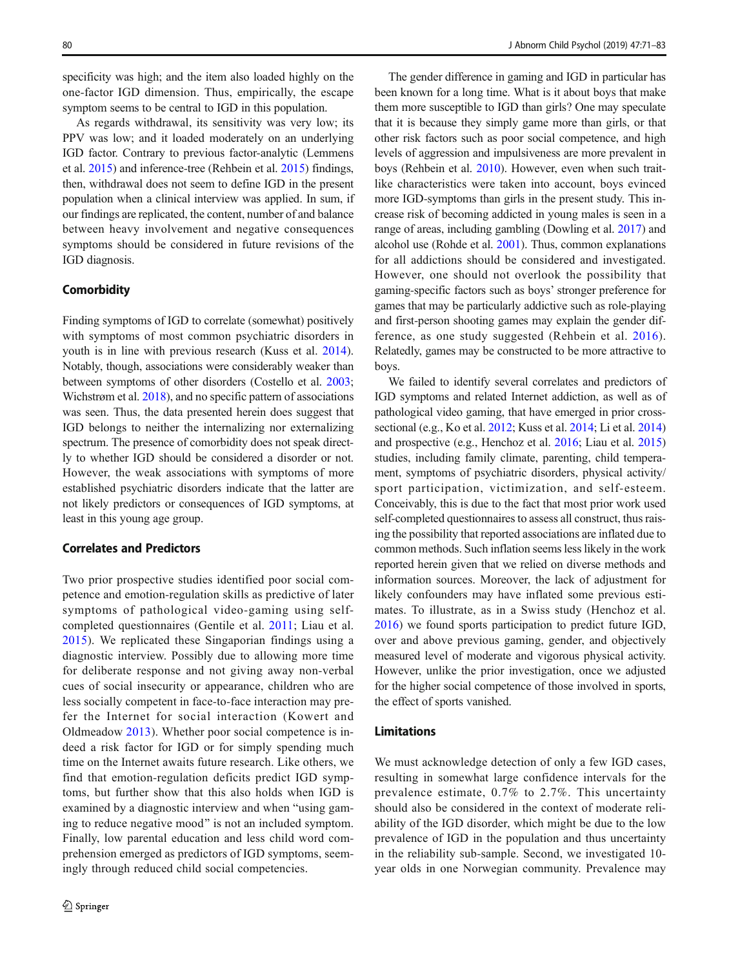specificity was high; and the item also loaded highly on the one-factor IGD dimension. Thus, empirically, the escape symptom seems to be central to IGD in this population.

As regards withdrawal, its sensitivity was very low; its PPV was low; and it loaded moderately on an underlying IGD factor. Contrary to previous factor-analytic (Lemmens et al. [2015](#page-11-0)) and inference-tree (Rehbein et al. [2015](#page-12-0)) findings, then, withdrawal does not seem to define IGD in the present population when a clinical interview was applied. In sum, if our findings are replicated, the content, number of and balance between heavy involvement and negative consequences symptoms should be considered in future revisions of the IGD diagnosis.

## **Comorbidity**

Finding symptoms of IGD to correlate (somewhat) positively with symptoms of most common psychiatric disorders in youth is in line with previous research (Kuss et al. [2014](#page-11-0)). Notably, though, associations were considerably weaker than between symptoms of other disorders (Costello et al. [2003](#page-11-0); Wichstrøm et al. [2018\)](#page-12-0), and no specific pattern of associations was seen. Thus, the data presented herein does suggest that IGD belongs to neither the internalizing nor externalizing spectrum. The presence of comorbidity does not speak directly to whether IGD should be considered a disorder or not. However, the weak associations with symptoms of more established psychiatric disorders indicate that the latter are not likely predictors or consequences of IGD symptoms, at least in this young age group.

## Correlates and Predictors

Two prior prospective studies identified poor social competence and emotion-regulation skills as predictive of later symptoms of pathological video-gaming using selfcompleted questionnaires (Gentile et al. [2011;](#page-11-0) Liau et al. [2015](#page-11-0)). We replicated these Singaporian findings using a diagnostic interview. Possibly due to allowing more time for deliberate response and not giving away non-verbal cues of social insecurity or appearance, children who are less socially competent in face-to-face interaction may prefer the Internet for social interaction (Kowert and Oldmeadow [2013\)](#page-11-0). Whether poor social competence is indeed a risk factor for IGD or for simply spending much time on the Internet awaits future research. Like others, we find that emotion-regulation deficits predict IGD symptoms, but further show that this also holds when IGD is examined by a diagnostic interview and when "using gaming to reduce negative mood" is not an included symptom. Finally, low parental education and less child word comprehension emerged as predictors of IGD symptoms, seemingly through reduced child social competencies.

The gender difference in gaming and IGD in particular has been known for a long time. What is it about boys that make them more susceptible to IGD than girls? One may speculate that it is because they simply game more than girls, or that other risk factors such as poor social competence, and high levels of aggression and impulsiveness are more prevalent in boys (Rehbein et al. [2010\)](#page-12-0). However, even when such traitlike characteristics were taken into account, boys evinced more IGD-symptoms than girls in the present study. This increase risk of becoming addicted in young males is seen in a range of areas, including gambling (Dowling et al. [2017](#page-11-0)) and alcohol use (Rohde et al. [2001\)](#page-12-0). Thus, common explanations for all addictions should be considered and investigated. However, one should not overlook the possibility that gaming-specific factors such as boys' stronger preference for games that may be particularly addictive such as role-playing and first-person shooting games may explain the gender difference, as one study suggested (Rehbein et al. [2016](#page-12-0)). Relatedly, games may be constructed to be more attractive to boys.

We failed to identify several correlates and predictors of IGD symptoms and related Internet addiction, as well as of pathological video gaming, that have emerged in prior crosssectional (e.g., Ko et al. [2012;](#page-11-0) Kuss et al. [2014](#page-11-0); Li et al. [2014](#page-11-0)) and prospective (e.g., Henchoz et al. [2016;](#page-11-0) Liau et al. [2015](#page-11-0)) studies, including family climate, parenting, child temperament, symptoms of psychiatric disorders, physical activity/ sport participation, victimization, and self-esteem. Conceivably, this is due to the fact that most prior work used self-completed questionnaires to assess all construct, thus raising the possibility that reported associations are inflated due to common methods. Such inflation seems less likely in the work reported herein given that we relied on diverse methods and information sources. Moreover, the lack of adjustment for likely confounders may have inflated some previous estimates. To illustrate, as in a Swiss study (Henchoz et al. [2016\)](#page-11-0) we found sports participation to predict future IGD, over and above previous gaming, gender, and objectively measured level of moderate and vigorous physical activity. However, unlike the prior investigation, once we adjusted for the higher social competence of those involved in sports, the effect of sports vanished.

## Limitations

We must acknowledge detection of only a few IGD cases, resulting in somewhat large confidence intervals for the prevalence estimate, 0.7% to 2.7%. This uncertainty should also be considered in the context of moderate reliability of the IGD disorder, which might be due to the low prevalence of IGD in the population and thus uncertainty in the reliability sub-sample. Second, we investigated 10 year olds in one Norwegian community. Prevalence may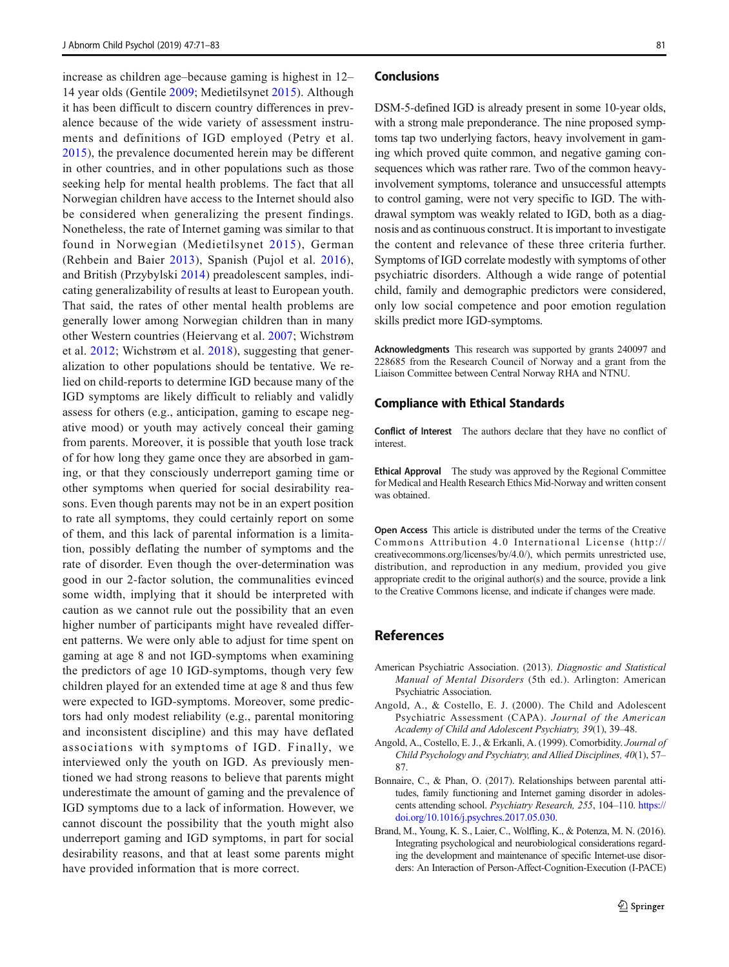<span id="page-10-0"></span>increase as children age–because gaming is highest in 12– 14 year olds (Gentile [2009;](#page-11-0) Medietilsynet [2015](#page-12-0)). Although it has been difficult to discern country differences in prevalence because of the wide variety of assessment instruments and definitions of IGD employed (Petry et al. [2015](#page-12-0)), the prevalence documented herein may be different in other countries, and in other populations such as those seeking help for mental health problems. The fact that all Norwegian children have access to the Internet should also be considered when generalizing the present findings. Nonetheless, the rate of Internet gaming was similar to that found in Norwegian (Medietilsynet [2015\)](#page-12-0), German (Rehbein and Baier [2013\)](#page-12-0), Spanish (Pujol et al. [2016](#page-12-0)), and British (Przybylski [2014](#page-12-0)) preadolescent samples, indicating generalizability of results at least to European youth. That said, the rates of other mental health problems are generally lower among Norwegian children than in many other Western countries (Heiervang et al. [2007](#page-11-0); Wichstrøm et al. [2012](#page-12-0); Wichstrøm et al. [2018](#page-12-0)), suggesting that generalization to other populations should be tentative. We relied on child-reports to determine IGD because many of the IGD symptoms are likely difficult to reliably and validly assess for others (e.g., anticipation, gaming to escape negative mood) or youth may actively conceal their gaming from parents. Moreover, it is possible that youth lose track of for how long they game once they are absorbed in gaming, or that they consciously underreport gaming time or other symptoms when queried for social desirability reasons. Even though parents may not be in an expert position to rate all symptoms, they could certainly report on some of them, and this lack of parental information is a limitation, possibly deflating the number of symptoms and the rate of disorder. Even though the over-determination was good in our 2-factor solution, the communalities evinced some width, implying that it should be interpreted with caution as we cannot rule out the possibility that an even higher number of participants might have revealed different patterns. We were only able to adjust for time spent on gaming at age 8 and not IGD-symptoms when examining the predictors of age 10 IGD-symptoms, though very few children played for an extended time at age 8 and thus few were expected to IGD-symptoms. Moreover, some predictors had only modest reliability (e.g., parental monitoring and inconsistent discipline) and this may have deflated associations with symptoms of IGD. Finally, we interviewed only the youth on IGD. As previously mentioned we had strong reasons to believe that parents might underestimate the amount of gaming and the prevalence of IGD symptoms due to a lack of information. However, we cannot discount the possibility that the youth might also underreport gaming and IGD symptoms, in part for social desirability reasons, and that at least some parents might have provided information that is more correct.

#### Conclusions

DSM-5-defined IGD is already present in some 10-year olds, with a strong male preponderance. The nine proposed symptoms tap two underlying factors, heavy involvement in gaming which proved quite common, and negative gaming consequences which was rather rare. Two of the common heavyinvolvement symptoms, tolerance and unsuccessful attempts to control gaming, were not very specific to IGD. The withdrawal symptom was weakly related to IGD, both as a diagnosis and as continuous construct. It is important to investigate the content and relevance of these three criteria further. Symptoms of IGD correlate modestly with symptoms of other psychiatric disorders. Although a wide range of potential child, family and demographic predictors were considered, only low social competence and poor emotion regulation skills predict more IGD-symptoms.

Acknowledgments This research was supported by grants 240097 and 228685 from the Research Council of Norway and a grant from the Liaison Committee between Central Norway RHA and NTNU.

### Compliance with Ethical Standards

Conflict of Interest The authors declare that they have no conflict of interest.

Ethical Approval The study was approved by the Regional Committee for Medical and Health Research Ethics Mid-Norway and written consent was obtained.

Open Access This article is distributed under the terms of the Creative Commons Attribution 4.0 International License (http:// creativecommons.org/licenses/by/4.0/), which permits unrestricted use, distribution, and reproduction in any medium, provided you give appropriate credit to the original author(s) and the source, provide a link to the Creative Commons license, and indicate if changes were made.

## References

- American Psychiatric Association. (2013). Diagnostic and Statistical Manual of Mental Disorders (5th ed.). Arlington: American Psychiatric Association.
- Angold, A., & Costello, E. J. (2000). The Child and Adolescent Psychiatric Assessment (CAPA). Journal of the American Academy of Child and Adolescent Psychiatry, 39(1), 39–48.
- Angold, A., Costello, E. J., & Erkanli, A. (1999). Comorbidity. Journal of Child Psychology and Psychiatry, and Allied Disciplines, 40(1), 57– 87.
- Bonnaire, C., & Phan, O. (2017). Relationships between parental attitudes, family functioning and Internet gaming disorder in adolescents attending school. Psychiatry Research, 255, 104–110. [https://](https://doi.org/10.1016/j.psychres.2017.05.030) [doi.org/10.1016/j.psychres.2017.05.030.](https://doi.org/10.1016/j.psychres.2017.05.030)
- Brand, M., Young, K. S., Laier, C., Wolfling, K., & Potenza, M. N. (2016). Integrating psychological and neurobiological considerations regarding the development and maintenance of specific Internet-use disorders: An Interaction of Person-Affect-Cognition-Execution (I-PACE)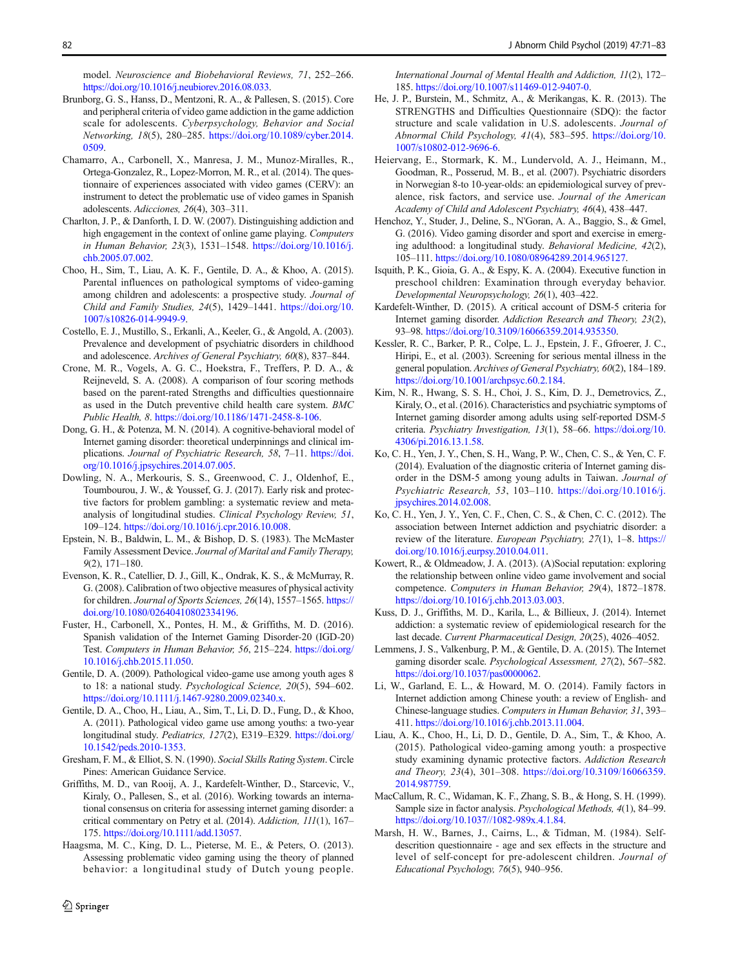<span id="page-11-0"></span>model. Neuroscience and Biobehavioral Reviews, 71, 252–266. [https://doi.org/10.1016/j.neubiorev.2016.08.033.](https://doi.org/10.1016/j.neubiorev.2016.08.033)

- Brunborg, G. S., Hanss, D., Mentzoni, R. A., & Pallesen, S. (2015). Core and peripheral criteria of video game addiction in the game addiction scale for adolescents. Cyberpsychology, Behavior and Social Networking, 18(5), 280–285. [https://doi.org/10.1089/cyber.2014.](https://doi.org/10.1089/cyber.2014.0509) [0509.](https://doi.org/10.1089/cyber.2014.0509)
- Chamarro, A., Carbonell, X., Manresa, J. M., Munoz-Miralles, R., Ortega-Gonzalez, R., Lopez-Morron, M. R., et al. (2014). The questionnaire of experiences associated with video games (CERV): an instrument to detect the problematic use of video games in Spanish adolescents. Adicciones, 26(4), 303–311.
- Charlton, J. P., & Danforth, I. D. W. (2007). Distinguishing addiction and high engagement in the context of online game playing. Computers in Human Behavior, 23(3), 1531–1548. [https://doi.org/10.1016/j.](https://doi.org/10.1016/j.chb.2005.07.002) [chb.2005.07.002](https://doi.org/10.1016/j.chb.2005.07.002).
- Choo, H., Sim, T., Liau, A. K. F., Gentile, D. A., & Khoo, A. (2015). Parental influences on pathological symptoms of video-gaming among children and adolescents: a prospective study. Journal of Child and Family Studies, 24(5), 1429–1441. [https://doi.org/10.](https://doi.org/10.1007/s10826-014-9949-9) [1007/s10826-014-9949-9.](https://doi.org/10.1007/s10826-014-9949-9)
- Costello, E. J., Mustillo, S., Erkanli, A., Keeler, G., & Angold, A. (2003). Prevalence and development of psychiatric disorders in childhood and adolescence. Archives of General Psychiatry, 60(8), 837–844.
- Crone, M. R., Vogels, A. G. C., Hoekstra, F., Treffers, P. D. A., & Reijneveld, S. A. (2008). A comparison of four scoring methods based on the parent-rated Strengths and difficulties questionnaire as used in the Dutch preventive child health care system. BMC Public Health, 8. [https://doi.org/10.1186/1471-2458-8-106.](https://doi.org/10.1186/1471-2458-8-106)
- Dong, G. H., & Potenza, M. N. (2014). A cognitive-behavioral model of Internet gaming disorder: theoretical underpinnings and clinical implications. Journal of Psychiatric Research, 58, 7-11. [https://doi.](https://doi.org/10.1016/j.jpsychires.2014.07.005) [org/10.1016/j.jpsychires.2014.07.005](https://doi.org/10.1016/j.jpsychires.2014.07.005).
- Dowling, N. A., Merkouris, S. S., Greenwood, C. J., Oldenhof, E., Toumbourou, J. W., & Youssef, G. J. (2017). Early risk and protective factors for problem gambling: a systematic review and metaanalysis of longitudinal studies. Clinical Psychology Review, 51, 109–124. [https://doi.org/10.1016/j.cpr.2016.10.008.](https://doi.org/10.1016/j.cpr.2016.10.008)
- Epstein, N. B., Baldwin, L. M., & Bishop, D. S. (1983). The McMaster Family Assessment Device. Journal of Marital and Family Therapy, 9(2), 171–180.
- Evenson, K. R., Catellier, D. J., Gill, K., Ondrak, K. S., & McMurray, R. G. (2008). Calibration of two objective measures of physical activity for children. Journal of Sports Sciences, 26(14), 1557–1565. [https://](https://doi.org/10.1080/02640410802334196) [doi.org/10.1080/02640410802334196.](https://doi.org/10.1080/02640410802334196)
- Fuster, H., Carbonell, X., Pontes, H. M., & Griffiths, M. D. (2016). Spanish validation of the Internet Gaming Disorder-20 (IGD-20) Test. Computers in Human Behavior, 56, 215–224. [https://doi.org/](https://doi.org/10.1016/j.chb.2015.11.050) [10.1016/j.chb.2015.11.050](https://doi.org/10.1016/j.chb.2015.11.050).
- Gentile, D. A. (2009). Pathological video-game use among youth ages 8 to 18: a national study. Psychological Science, 20(5), 594–602. [https://doi.org/10.1111/j.1467-9280.2009.02340.x](https://doi.org/10.1080/02640410802334196).
- Gentile, D. A., Choo, H., Liau, A., Sim, T., Li, D. D., Fung, D., & Khoo, A. (2011). Pathological video game use among youths: a two-year longitudinal study. Pediatrics, 127(2), E319–E329. [https://doi.org/](https://doi.org/10.1542/peds.2010-1353) [10.1542/peds.2010-1353.](https://doi.org/10.1542/peds.2010-1353)
- Gresham, F. M., & Elliot, S. N. (1990). Social Skills Rating System. Circle Pines: American Guidance Service.
- Griffiths, M. D., van Rooij, A. J., Kardefelt-Winther, D., Starcevic, V., Kiraly, O., Pallesen, S., et al. (2016). Working towards an international consensus on criteria for assessing internet gaming disorder: a critical commentary on Petry et al. (2014). Addiction, 111(1), 167– 175. <https://doi.org/10.1111/add.13057>.
- Haagsma, M. C., King, D. L., Pieterse, M. E., & Peters, O. (2013). Assessing problematic video gaming using the theory of planned behavior: a longitudinal study of Dutch young people.

 $\hat{Z}$  Springer

International Journal of Mental Health and Addiction, 11(2), 172– 185. <https://doi.org/10.1007/s11469-012-9407-0>.

- He, J. P., Burstein, M., Schmitz, A., & Merikangas, K. R. (2013). The STRENGTHS and Difficulties Questionnaire (SDQ): the factor structure and scale validation in U.S. adolescents. Journal of Abnormal Child Psychology, 41(4), 583–595. [https://doi.org/10.](https://doi.org/10.1007/s10802-012-9696-6) [1007/s10802-012-9696-6.](https://doi.org/10.1007/s10802-012-9696-6)
- Heiervang, E., Stormark, K. M., Lundervold, A. J., Heimann, M., Goodman, R., Posserud, M. B., et al. (2007). Psychiatric disorders in Norwegian 8-to 10-year-olds: an epidemiological survey of prevalence, risk factors, and service use. Journal of the American Academy of Child and Adolescent Psychiatry, 46(4), 438–447.
- Henchoz, Y., Studer, J., Deline, S., N'Goran, A. A., Baggio, S., & Gmel, G. (2016). Video gaming disorder and sport and exercise in emerging adulthood: a longitudinal study. Behavioral Medicine, 42(2), 105–111. <https://doi.org/10.1080/08964289.2014.965127>.
- Isquith, P. K., Gioia, G. A., & Espy, K. A. (2004). Executive function in preschool children: Examination through everyday behavior. Developmental Neuropsychology, 26(1), 403–422.
- Kardefelt-Winther, D. (2015). A critical account of DSM-5 criteria for Internet gaming disorder. Addiction Research and Theory, 23(2), 93–98. <https://doi.org/10.3109/16066359.2014.935350>.
- Kessler, R. C., Barker, P. R., Colpe, L. J., Epstein, J. F., Gfroerer, J. C., Hiripi, E., et al. (2003). Screening for serious mental illness in the general population. Archives of General Psychiatry, 60(2), 184–189. [https://doi.org/10.1001/archpsyc.60.2.184.](https://doi.org/10.1001/archpsyc.60.2.184)
- Kim, N. R., Hwang, S. S. H., Choi, J. S., Kim, D. J., Demetrovics, Z., Kiraly, O., et al. (2016). Characteristics and psychiatric symptoms of Internet gaming disorder among adults using self-reported DSM-5 criteria. Psychiatry Investigation, 13(1), 58–66. [https://doi.org/10.](https://doi.org/10.4306/pi.2016.13.1.58) [4306/pi.2016.13.1.58](https://doi.org/10.4306/pi.2016.13.1.58).
- Ko, C. H., Yen, J. Y., Chen, S. H., Wang, P. W., Chen, C. S., & Yen, C. F. (2014). Evaluation of the diagnostic criteria of Internet gaming disorder in the DSM-5 among young adults in Taiwan. Journal of Psychiatric Research, 53, 103–110. [https://doi.org/10.1016/j.](https://doi.org/10.1016/j.jpsychires.2014.02.008) [jpsychires.2014.02.008](https://doi.org/10.1016/j.jpsychires.2014.02.008).
- Ko, C. H., Yen, J. Y., Yen, C. F., Chen, C. S., & Chen, C. C. (2012). The association between Internet addiction and psychiatric disorder: a review of the literature. European Psychiatry, 27(1), 1–8. [https://](https://doi.org/10.1016/j.eurpsy.2010.04.011) [doi.org/10.1016/j.eurpsy.2010.04.011](https://doi.org/10.1016/j.eurpsy.2010.04.011).
- Kowert, R., & Oldmeadow, J. A. (2013). (A)Social reputation: exploring the relationship between online video game involvement and social competence. Computers in Human Behavior, 29(4), 1872–1878. <https://doi.org/10.1016/j.chb.2013.03.003>.
- Kuss, D. J., Griffiths, M. D., Karila, L., & Billieux, J. (2014). Internet addiction: a systematic review of epidemiological research for the last decade. Current Pharmaceutical Design, 20(25), 4026–4052.
- Lemmens, J. S., Valkenburg, P. M., & Gentile, D. A. (2015). The Internet gaming disorder scale. Psychological Assessment, 27(2), 567–582. [https://doi.org/10.1037/pas0000062.](https://doi.org/10.1037/pas0000062)
- Li, W., Garland, E. L., & Howard, M. O. (2014). Family factors in Internet addiction among Chinese youth: a review of English- and Chinese-language studies. Computers in Human Behavior, 31, 393– 411. [https://doi.org/10.1016/j.chb.2013.11.004.](https://doi.org/10.1016/j.chb.2013.11.004)
- Liau, A. K., Choo, H., Li, D. D., Gentile, D. A., Sim, T., & Khoo, A. (2015). Pathological video-gaming among youth: a prospective study examining dynamic protective factors. Addiction Research and Theory, 23(4), 301–308. [https://doi.org/10.3109/16066359.](https://doi.org/10.3109/16066359.2014.987759) [2014.987759](https://doi.org/10.3109/16066359.2014.987759).
- MacCallum, R. C., Widaman, K. F., Zhang, S. B., & Hong, S. H. (1999). Sample size in factor analysis. Psychological Methods, 4(1), 84–99. [https://doi.org/10.1037//1082-989x.4.1.84.](https://doi.org/10.1037//1082-989x.4.1.84)
- Marsh, H. W., Barnes, J., Cairns, L., & Tidman, M. (1984). Selfdescrition questionnaire - age and sex effects in the structure and level of self-concept for pre-adolescent children. Journal of Educational Psychology, 76(5), 940–956.